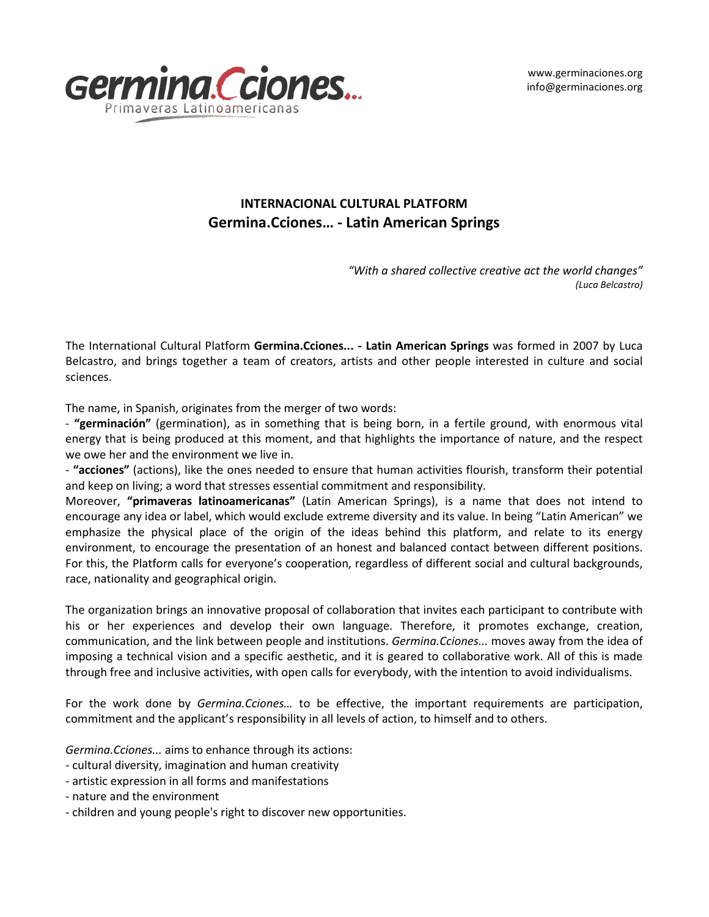www.germinaciones.org info@germinaciones.org



## **INTERNACIONAL CULTURAL PLATFORM Germina.Cciones… - Latin American Springs**

*"With a shared collective creative act the world changes" (Luca Belcastro)*

The International Cultural Platform **Germina.Cciones... - Latin American Springs** was formed in 2007 by Luca Belcastro, and brings together a team of creators, artists and other people interested in culture and social sciences.

The name, in Spanish, originates from the merger of two words:

- **"germinación"** (germination), as in something that is being born, in a fertile ground, with enormous vital energy that is being produced at this moment, and that highlights the importance of nature, and the respect we owe her and the environment we live in.

- **"acciones"** (actions), like the ones needed to ensure that human activities flourish, transform their potential and keep on living; a word that stresses essential commitment and responsibility.

Moreover, **"primaveras latinoamericanas"** (Latin American Springs), is a name that does not intend to encourage any idea or label, which would exclude extreme diversity and its value. In being "Latin American" we emphasize the physical place of the origin of the ideas behind this platform, and relate to its energy environment, to encourage the presentation of an honest and balanced contact between different positions. For this, the Platform calls for everyone's cooperation, regardless of different social and cultural backgrounds, race, nationality and geographical origin.

The organization brings an innovative proposal of collaboration that invites each participant to contribute with his or her experiences and develop their own language. Therefore, it promotes exchange, creation, communication, and the link between people and institutions. *Germina.Cciones...* moves away from the idea of imposing a technical vision and a specific aesthetic, and it is geared to collaborative work. All of this is made through free and inclusive activities, with open calls for everybody, with the intention to avoid individualisms.

For the work done by *Germina.Cciones…* to be effective, the important requirements are participation, commitment and the applicant's responsibility in all levels of action, to himself and to others.

*Germina.Cciones...* aims to enhance through its actions:

- cultural diversity, imagination and human creativity
- artistic expression in all forms and manifestations
- nature and the environment
- children and young people's right to discover new opportunities.